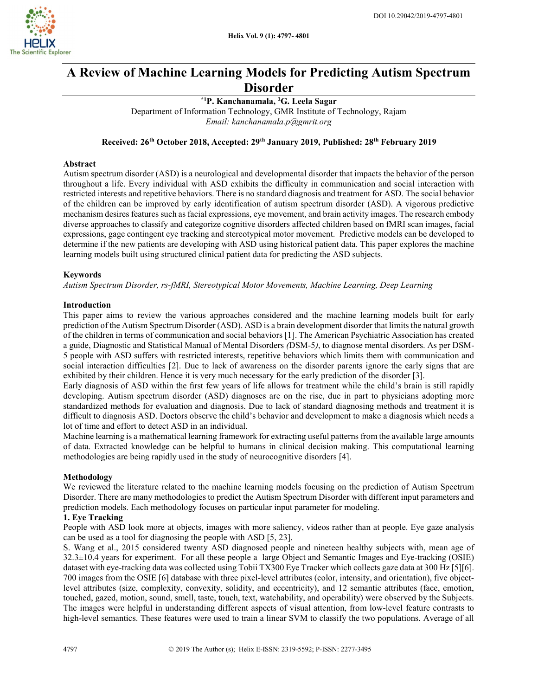

# A Review of Machine Learning Models for Predicting Autism Spectrum Disorder

\*1P. Kanchanamala, <sup>2</sup>G. Leela Sagar Department of Information Technology, GMR Institute of Technology, Rajam Email: kanchanamala.p@gmrit.org

Received: 26<sup>th</sup> October 2018, Accepted: 29<sup>th</sup> January 2019, Published: 28<sup>th</sup> February 2019

### Abstract

Autism spectrum disorder (ASD) is a neurological and developmental disorder that impacts the behavior of the person throughout a life. Every individual with ASD exhibits the difficulty in communication and social interaction with restricted interests and repetitive behaviors. There is no standard diagnosis and treatment for ASD. The social behavior of the children can be improved by early identification of autism spectrum disorder (ASD). A vigorous predictive mechanism desires features such as facial expressions, eye movement, and brain activity images. The research embody diverse approaches to classify and categorize cognitive disorders affected children based on fMRI scan images, facial expressions, gage contingent eye tracking and stereotypical motor movement. Predictive models can be developed to determine if the new patients are developing with ASD using historical patient data. This paper explores the machine learning models built using structured clinical patient data for predicting the ASD subjects.

## Keywords

Autism Spectrum Disorder, rs-fMRI, Stereotypical Motor Movements, Machine Learning, Deep Learning

### Introduction

This paper aims to review the various approaches considered and the machine learning models built for early prediction of the Autism Spectrum Disorder (ASD). ASD is a brain development disorder that limits the natural growth of the children in terms of communication and social behaviors [1]. The American Psychiatric Association has created a guide, Diagnostic and Statistical Manual of Mental Disorders (DSM-5), to diagnose mental disorders. As per DSM-5 people with ASD suffers with restricted interests, repetitive behaviors which limits them with communication and social interaction difficulties [2]. Due to lack of awareness on the disorder parents ignore the early signs that are exhibited by their children. Hence it is very much necessary for the early prediction of the disorder [3].

Early diagnosis of ASD within the first few years of life allows for treatment while the child's brain is still rapidly developing. Autism spectrum disorder (ASD) diagnoses are on the rise, due in part to physicians adopting more standardized methods for evaluation and diagnosis. Due to lack of standard diagnosing methods and treatment it is difficult to diagnosis ASD. Doctors observe the child's behavior and development to make a diagnosis which needs a lot of time and effort to detect ASD in an individual.

Machine learning is a mathematical learning framework for extracting useful patterns from the available large amounts of data. Extracted knowledge can be helpful to humans in clinical decision making. This computational learning methodologies are being rapidly used in the study of neurocognitive disorders [4].

#### Methodology

We reviewed the literature related to the machine learning models focusing on the prediction of Autism Spectrum Disorder. There are many methodologies to predict the Autism Spectrum Disorder with different input parameters and prediction models. Each methodology focuses on particular input parameter for modeling.

## 1. Eye Tracking

People with ASD look more at objects, images with more saliency, videos rather than at people. Eye gaze analysis can be used as a tool for diagnosing the people with ASD [5, 23].

S. Wang et al., 2015 considered twenty ASD diagnosed people and nineteen healthy subjects with, mean age of 32.3±10.4 years for experiment. For all these people a large Object and Semantic Images and Eye-tracking (OSIE) dataset with eye-tracking data was collected using Tobii TX300 Eye Tracker which collects gaze data at 300 Hz [5][6]. 700 images from the OSIE [6] database with three pixel-level attributes (color, intensity, and orientation), five objectlevel attributes (size, complexity, convexity, solidity, and eccentricity), and 12 semantic attributes (face, emotion, touched, gazed, motion, sound, smell, taste, touch, text, watchability, and operability) were observed by the Subjects. The images were helpful in understanding different aspects of visual attention, from low-level feature contrasts to high-level semantics. These features were used to train a linear SVM to classify the two populations. Average of all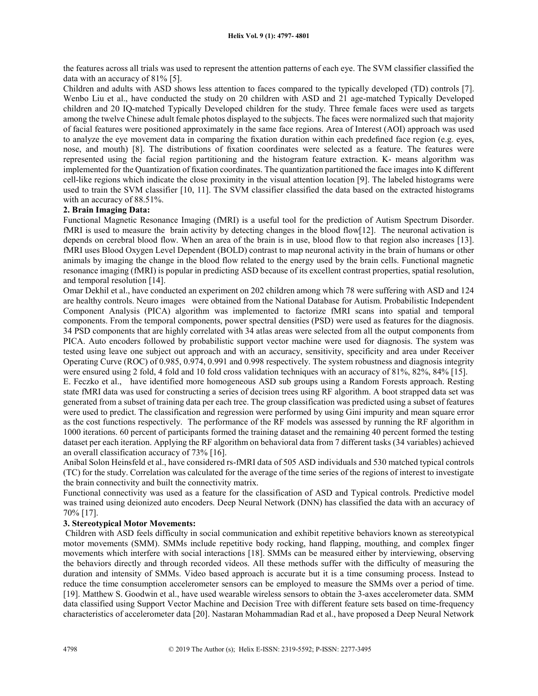the features across all trials was used to represent the attention patterns of each eye. The SVM classifier classified the data with an accuracy of 81% [5].

Children and adults with ASD shows less attention to faces compared to the typically developed (TD) controls [7]. Wenbo Liu et al., have conducted the study on 20 children with ASD and 21 age-matched Typically Developed children and 20 IQ-matched Typically Developed children for the study. Three female faces were used as targets among the twelve Chinese adult female photos displayed to the subjects. The faces were normalized such that majority of facial features were positioned approximately in the same face regions. Area of Interest (AOI) approach was used to analyze the eye movement data in comparing the fixation duration within each predefined face region (e.g. eyes, nose, and mouth) [8]. The distributions of fixation coordinates were selected as a feature. The features were represented using the facial region partitioning and the histogram feature extraction. K- means algorithm was implemented for the Quantization of fixation coordinates. The quantization partitioned the face images into K different cell-like regions which indicate the close proximity in the visual attention location [9]. The labeled histograms were used to train the SVM classifier [10, 11]. The SVM classifier classified the data based on the extracted histograms with an accuracy of 88.51%.

### 2. Brain Imaging Data:

Functional Magnetic Resonance Imaging (fMRI) is a useful tool for the prediction of Autism Spectrum Disorder. fMRI is used to measure the brain activity by detecting changes in the blood flow[12]. The neuronal activation is depends on cerebral blood flow. When an area of the brain is in use, blood flow to that region also increases [13]. fMRI uses Blood Oxygen Level Dependent (BOLD) contrast to map neuronal activity in the brain of humans or other animals by imaging the change in the blood flow related to the energy used by the brain cells. Functional magnetic resonance imaging (fMRI) is popular in predicting ASD because of its excellent contrast properties, spatial resolution, and temporal resolution [14].

Omar Dekhil et al., have conducted an experiment on 202 children among which 78 were suffering with ASD and 124 are healthy controls. Neuro images were obtained from the National Database for Autism. Probabilistic Independent Component Analysis (PICA) algorithm was implemented to factorize fMRI scans into spatial and temporal components. From the temporal components, power spectral densities (PSD) were used as features for the diagnosis. 34 PSD components that are highly correlated with 34 atlas areas were selected from all the output components from PICA. Auto encoders followed by probabilistic support vector machine were used for diagnosis. The system was tested using leave one subject out approach and with an accuracy, sensitivity, specificity and area under Receiver Operating Curve (ROC) of 0.985, 0.974, 0.991 and 0.998 respectively. The system robustness and diagnosis integrity were ensured using 2 fold, 4 fold and 10 fold cross validation techniques with an accuracy of 81%, 82%, 84% [15].

E. Feczko et al., have identified more homogeneous ASD sub groups using a Random Forests approach. Resting state fMRI data was used for constructing a series of decision trees using RF algorithm. A boot strapped data set was generated from a subset of training data per each tree. The group classification was predicted using a subset of features were used to predict. The classification and regression were performed by using Gini impurity and mean square error as the cost functions respectively. The performance of the RF models was assessed by running the RF algorithm in 1000 iterations. 60 percent of participants formed the training dataset and the remaining 40 percent formed the testing dataset per each iteration. Applying the RF algorithm on behavioral data from 7 different tasks (34 variables) achieved an overall classification accuracy of 73% [16].

Anibal Solon Heinsfeld et al., have considered rs-fMRI data of 505 ASD individuals and 530 matched typical controls (TC) for the study. Correlation was calculated for the average of the time series of the regions of interest to investigate the brain connectivity and built the connectivity matrix.

Functional connectivity was used as a feature for the classification of ASD and Typical controls. Predictive model was trained using deionized auto encoders. Deep Neural Network (DNN) has classified the data with an accuracy of 70% [17].

## 3. Stereotypical Motor Movements:

Children with ASD feels difficulty in social communication and exhibit repetitive behaviors known as stereotypical motor movements (SMM). SMMs include repetitive body rocking, hand flapping, mouthing, and complex finger movements which interfere with social interactions [18]. SMMs can be measured either by interviewing, observing the behaviors directly and through recorded videos. All these methods suffer with the difficulty of measuring the duration and intensity of SMMs. Video based approach is accurate but it is a time consuming process. Instead to reduce the time consumption accelerometer sensors can be employed to measure the SMMs over a period of time. [19]. Matthew S. Goodwin et al., have used wearable wireless sensors to obtain the 3-axes accelerometer data. SMM data classified using Support Vector Machine and Decision Tree with different feature sets based on time-frequency characteristics of accelerometer data [20]. Nastaran Mohammadian Rad et al., have proposed a Deep Neural Network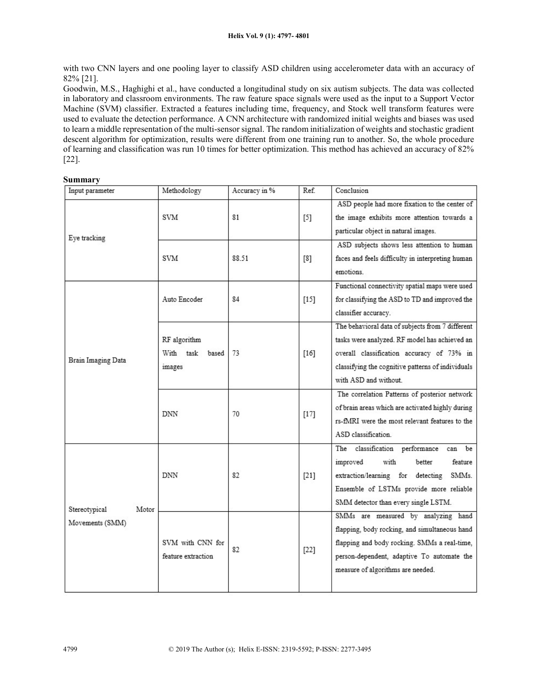with two CNN layers and one pooling layer to classify ASD children using accelerometer data with an accuracy of 82% [21].

Goodwin, M.S., Haghighi et al., have conducted a longitudinal study on six autism subjects. The data was collected in laboratory and classroom environments. The raw feature space signals were used as the input to a Support Vector Machine (SVM) classifier. Extracted a features including time, frequency, and Stock well transform features were used to evaluate the detection performance. A CNN architecture with randomized initial weights and biases was used to learn a middle representation of the multi-sensor signal. The random initialization of weights and stochastic gradient descent algorithm for optimization, results were different from one training run to another. So, the whole procedure of learning and classification was run 10 times for better optimization. This method has achieved an accuracy of 82% [22].

### Summary

| Input parameter                  | Methodology                               | Accuracy in % | Ref.   | Conclusion                                                                                                                                                                                                                   |
|----------------------------------|-------------------------------------------|---------------|--------|------------------------------------------------------------------------------------------------------------------------------------------------------------------------------------------------------------------------------|
| Eye tracking                     | <b>SVM</b>                                | 81            | $[5]$  | ASD people had more fixation to the center of<br>the image exhibits more attention towards a<br>particular object in natural images.                                                                                         |
|                                  | <b>SVM</b>                                | 88.51         | [8]    | ASD subjects shows less attention to human<br>faces and feels difficulty in interpreting human<br>emotions                                                                                                                   |
| Brain Imaging Data               | Auto Encoder                              | 84            | $[15]$ | Functional connectivity spatial maps were used<br>for classifying the ASD to TD and improved the<br>classifier accuracy.                                                                                                     |
|                                  | RF algorithm<br>With task based<br>images | 73            | $[16]$ | The behavioral data of subjects from 7 different<br>tasks were analyzed. RF model has achieved an<br>overall classification accuracy of 73% in<br>classifying the cognitive patterns of individuals<br>with ASD and without. |
|                                  | <b>DNN</b>                                | 70            | $[17]$ | The correlation Patterns of posterior network<br>of brain areas which are activated highly during<br>rs-fMRI were the most relevant features to the<br>ASD classification.                                                   |
| Stereotypical<br>Movements (SMM) | <b>DNN</b><br>Motor                       | 82            | $[21]$ | The classification performance<br>be<br>can<br>improved<br>with<br>feature<br>better<br>extraction/learning for detecting<br>SMMs.<br>Ensemble of LSTMs provide more reliable<br>SMM detector than every single LSTM.        |
|                                  | SVM with CNN for<br>feature extraction    | 82            | $[22]$ | SMMs are measured by analyzing hand<br>flapping, body rocking, and simultaneous hand<br>flapping and body rocking. SMMs a real-time,<br>person-dependent, adaptive To automate the<br>measure of algorithms are needed.      |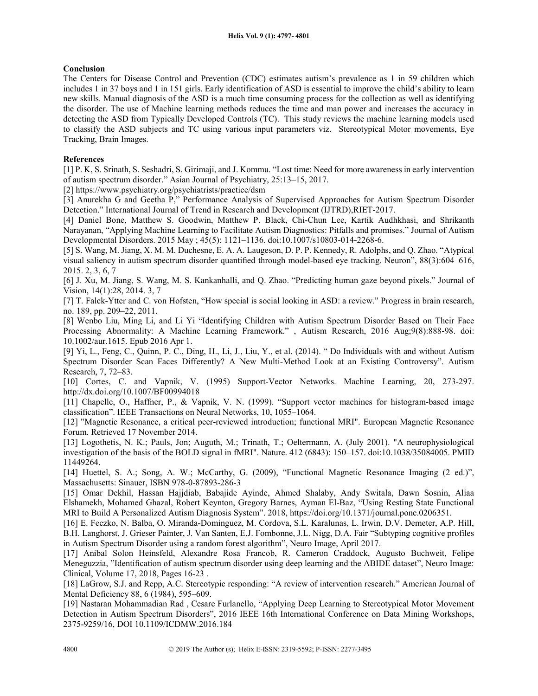## Conclusion

The Centers for Disease Control and Prevention (CDC) estimates autism's prevalence as 1 in 59 children which includes 1 in 37 boys and 1 in 151 girls. Early identification of ASD is essential to improve the child's ability to learn new skills. Manual diagnosis of the ASD is a much time consuming process for the collection as well as identifying the disorder. The use of Machine learning methods reduces the time and man power and increases the accuracy in detecting the ASD from Typically Developed Controls (TC). This study reviews the machine learning models used to classify the ASD subjects and TC using various input parameters viz. Stereotypical Motor movements, Eye Tracking, Brain Images.

## References

[1] P. K, S. Srinath, S. Seshadri, S. Girimaji, and J. Kommu. "Lost time: Need for more awareness in early intervention of autism spectrum disorder." Asian Journal of Psychiatry, 25:13–15, 2017.

[2] https://www.psychiatry.org/psychiatrists/practice/dsm

[3] Anurekha G and Geetha P," Performance Analysis of Supervised Approaches for Autism Spectrum Disorder Detection." International Journal of Trend in Research and Development (IJTRD),RIET-2017.

[4] Daniel Bone, Matthew S. Goodwin, Matthew P. Black, Chi-Chun Lee, Kartik Audhkhasi, and Shrikanth Narayanan, "Applying Machine Learning to Facilitate Autism Diagnostics: Pitfalls and promises." Journal of Autism Developmental Disorders. 2015 May ; 45(5): 1121–1136. doi:10.1007/s10803-014-2268-6.

[5] S. Wang, M. Jiang, X. M. M. Duchesne, E. A. A. Laugeson, D. P. P. Kennedy, R. Adolphs, and Q. Zhao. "Atypical visual saliency in autism spectrum disorder quantified through model-based eye tracking. Neuron", 88(3):604–616, 2015. 2, 3, 6, 7

[6] J. Xu, M. Jiang, S. Wang, M. S. Kankanhalli, and Q. Zhao. "Predicting human gaze beyond pixels." Journal of Vision, 14(1):28, 2014. 3, 7

[7] T. Falck-Ytter and C. von Hofsten, "How special is social looking in ASD: a review." Progress in brain research, no. 189, pp. 209–22, 2011.

[8] Wenbo Liu, Ming Li, and Li Yi "Identifying Children with Autism Spectrum Disorder Based on Their Face Processing Abnormality: A Machine Learning Framework." , Autism Research, 2016 Aug;9(8):888-98. doi: 10.1002/aur.1615. Epub 2016 Apr 1.

[9] Yi, L., Feng, C., Quinn, P. C., Ding, H., Li, J., Liu, Y., et al. (2014). " Do Individuals with and without Autism Spectrum Disorder Scan Faces Differently? A New Multi-Method Look at an Existing Controversy". Autism Research, 7, 72–83.

[10] Cortes, C. and Vapnik, V. (1995) Support-Vector Networks. Machine Learning, 20, 273-297. http://dx.doi.org/10.1007/BF00994018

[11] Chapelle, O., Haffner, P., & Vapnik, V. N. (1999). "Support vector machines for histogram-based image classification". IEEE Transactions on Neural Networks, 10, 1055–1064.

[12] "Magnetic Resonance, a critical peer-reviewed introduction; functional MRI". European Magnetic Resonance Forum. Retrieved 17 November 2014.

[13] Logothetis, N. K.; Pauls, Jon; Auguth, M.; Trinath, T.; Oeltermann, A. (July 2001). "A neurophysiological investigation of the basis of the BOLD signal in fMRI". Nature. 412 (6843): 150–157. doi:10.1038/35084005. PMID 11449264.

[14] Huettel, S. A.; Song, A. W.; McCarthy, G. (2009), "Functional Magnetic Resonance Imaging (2 ed.)", Massachusetts: Sinauer, ISBN 978-0-87893-286-3

[15] Omar Dekhil, Hassan Hajjdiab, Babajide Ayinde, Ahmed Shalaby, Andy Switala, Dawn Sosnin, Aliaa Elshamekh, Mohamed Ghazal, Robert Keynton, Gregory Barnes, Ayman El-Baz, "Using Resting State Functional MRI to Build A Personalized Autism Diagnosis System". 2018, https://doi.org/10.1371/journal.pone.0206351.

[16] E. Feczko, N. Balba, O. Miranda-Dominguez, M. Cordova, S.L. Karalunas, L. Irwin, D.V. Demeter, A.P. Hill, B.H. Langhorst, J. Grieser Painter, J. Van Santen, E.J. Fombonne, J.L. Nigg, D.A. Fair "Subtyping cognitive profiles in Autism Spectrum Disorder using a random forest algorithm", Neuro Image, April 2017.

[17] Anibal Solon Heinsfeld, Alexandre Rosa Francob, R. Cameron Craddock, Augusto Buchweit, Felipe Meneguzzia, "Identification of autism spectrum disorder using deep learning and the ABIDE dataset", Neuro Image: Clinical, Volume 17, 2018, Pages 16-23 .

[18] LaGrow, S.J. and Repp, A.C. Stereotypic responding: "A review of intervention research." American Journal of Mental Deficiency 88, 6 (1984), 595–609.

[19] Nastaran Mohammadian Rad, Cesare Furlanello, "Applying Deep Learning to Stereotypical Motor Movement Detection in Autism Spectrum Disorders", 2016 IEEE 16th International Conference on Data Mining Workshops, 2375-9259/16, DOI 10.1109/ICDMW.2016.184